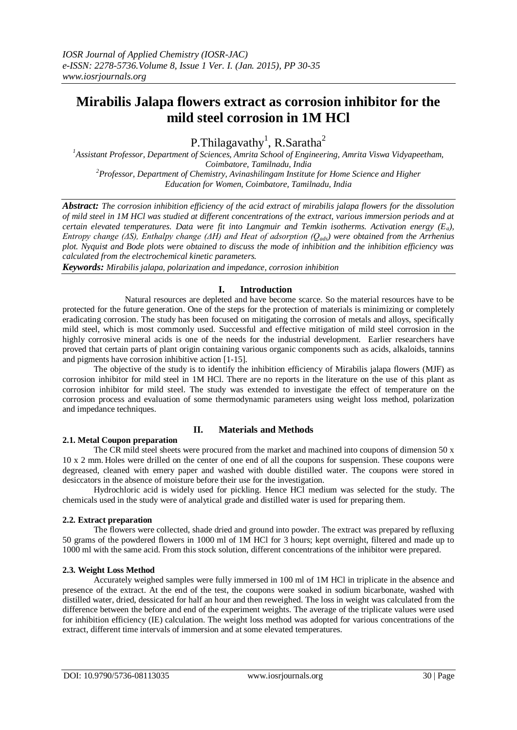# **Mirabilis Jalapa flowers extract as corrosion inhibitor for the mild steel corrosion in 1M HCl**

P.Thilagavathy<sup>1</sup>, R.Saratha<sup>2</sup>

*<sup>1</sup>Assistant Professor, Department of Sciences, Amrita School of Engineering, Amrita Viswa Vidyapeetham, Coimbatore, Tamilnadu, India <sup>2</sup>Professor, Department of Chemistry, Avinashilingam Institute for Home Science and Higher Education for Women, Coimbatore, Tamilnadu, India*

*Abstract: The corrosion inhibition efficiency of the acid extract of mirabilis jalapa flowers for the dissolution of mild steel in 1M HCl was studied at different concentrations of the extract, various immersion periods and at certain elevated temperatures. Data were fit into Langmuir and Temkin isotherms. Activation energy (Ea), Entropy change (ΔS), Enthalpy change (ΔH) and Heat of adsorption (Qads) were obtained from the Arrhenius plot. Nyquist and Bode plots were obtained to discuss the mode of inhibition and the inhibition efficiency was calculated from the electrochemical kinetic parameters.*

*Keywords: Mirabilis jalapa, polarization and impedance, corrosion inhibition*

## **I. Introduction**

Natural resources are depleted and have become scarce. So the material resources have to be protected for the future generation. One of the steps for the protection of materials is minimizing or completely eradicating corrosion. The study has been focused on mitigating the corrosion of metals and alloys, specifically mild steel, which is most commonly used. Successful and effective mitigation of mild steel corrosion in the highly corrosive mineral acids is one of the needs for the industrial development. Earlier researchers have proved that certain parts of plant origin containing various organic components such as acids, alkaloids, tannins and pigments have corrosion inhibitive action [1-15].

The objective of the study is to identify the inhibition efficiency of Mirabilis jalapa flowers (MJF) as corrosion inhibitor for mild steel in 1M HCl. There are no reports in the literature on the use of this plant as corrosion inhibitor for mild steel. The study was extended to investigate the effect of temperature on the corrosion process and evaluation of some thermodynamic parameters using weight loss method, polarization and impedance techniques.

## **2.1. Metal Coupon preparation**

## **II. Materials and Methods**

The CR mild steel sheets were procured from the market and machined into coupons of dimension 50 x 10 x 2 mm. Holes were drilled on the center of one end of all the coupons for suspension. These coupons were degreased, cleaned with emery paper and washed with double distilled water. The coupons were stored in desiccators in the absence of moisture before their use for the investigation.

Hydrochloric acid is widely used for pickling. Hence HCl medium was selected for the study. The chemicals used in the study were of analytical grade and distilled water is used for preparing them.

## **2.2. Extract preparation**

The flowers were collected, shade dried and ground into powder. The extract was prepared by refluxing 50 grams of the powdered flowers in 1000 ml of 1M HCl for 3 hours; kept overnight, filtered and made up to 1000 ml with the same acid. From this stock solution, different concentrations of the inhibitor were prepared.

## **2.3. Weight Loss Method**

Accurately weighed samples were fully immersed in 100 ml of 1M HCl in triplicate in the absence and presence of the extract. At the end of the test, the coupons were soaked in sodium bicarbonate, washed with distilled water, dried, dessicated for half an hour and then reweighed. The loss in weight was calculated from the difference between the before and end of the experiment weights. The average of the triplicate values were used for inhibition efficiency (IE) calculation. The weight loss method was adopted for various concentrations of the extract, different time intervals of immersion and at some elevated temperatures.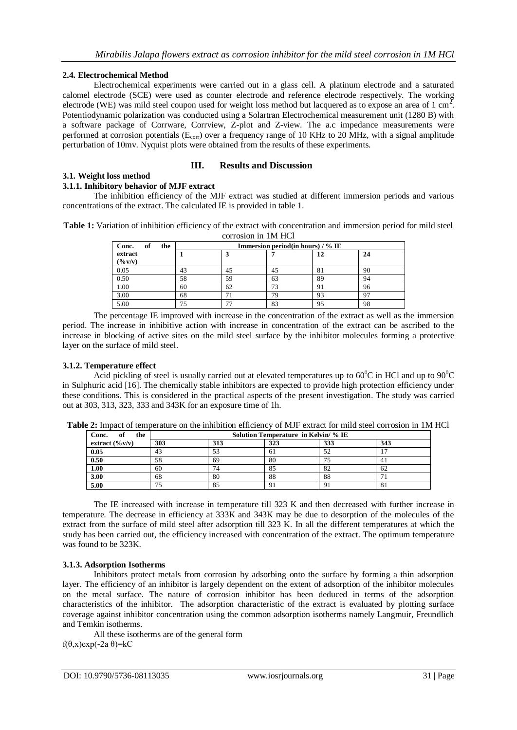## **2.4. Electrochemical Method**

Electrochemical experiments were carried out in a glass cell. A platinum electrode and a saturated calomel electrode (SCE) were used as counter electrode and reference electrode respectively. The working electrode (WE) was mild steel coupon used for weight loss method but lacquered as to expose an area of 1 cm<sup>2</sup>. Potentiodynamic polarization was conducted using a Solartran Electrochemical measurement unit (1280 B) with a software package of Corrware, Corrview, Z-plot and Z-view. The a.c impedance measurements were performed at corrosion potentials (E<sub>corr</sub>) over a frequency range of 10 KHz to 20 MHz, with a signal amplitude perturbation of 10mv. Nyquist plots were obtained from the results of these experiments.

## **III. Results and Discussion**

#### **3.1. Weight loss method**

## **3.1.1. Inhibitory behavior of MJF extract**

The inhibition efficiency of the MJF extract was studied at different immersion periods and various concentrations of the extract. The calculated IE is provided in table 1.

**Table 1:** Variation of inhibition efficiency of the extract with concentration and immersion period for mild steel corrosion in 1M HCl

| of<br>Conc.<br>the |    | Immersion period(in hours) / % IE |    |    |    |  |  |
|--------------------|----|-----------------------------------|----|----|----|--|--|
| extract            |    |                                   |    | 12 | 24 |  |  |
| (9/6 V/V)          |    |                                   |    |    |    |  |  |
| 0.05               | 43 | 45                                | 45 | 81 | 90 |  |  |
| 0.50               | 58 | 59                                | 63 | 89 | 94 |  |  |
| 1.00               | 60 | 62                                | 73 | 91 | 96 |  |  |
| 3.00               | 68 |                                   | 79 | 93 | 97 |  |  |
| 5.00               |    | <b>--</b>                         | 83 | 95 | 98 |  |  |

The percentage IE improved with increase in the concentration of the extract as well as the immersion period. The increase in inhibitive action with increase in concentration of the extract can be ascribed to the increase in blocking of active sites on the mild steel surface by the inhibitor molecules forming a protective layer on the surface of mild steel.

### **3.1.2. Temperature effect**

Acid pickling of steel is usually carried out at elevated temperatures up to  $60^{\circ}$ C in HCl and up to  $90^{\circ}$ C in Sulphuric acid [16]. The chemically stable inhibitors are expected to provide high protection efficiency under these conditions. This is considered in the practical aspects of the present investigation. The study was carried out at 303, 313, 323, 333 and 343K for an exposure time of 1h.

| of<br>Conc.<br>the         | Solution Temperature in Kelvin/ % IE |     |     |     |     |  |  |
|----------------------------|--------------------------------------|-----|-----|-----|-----|--|--|
| extract $(\frac{6}{v}v/v)$ | 303                                  | 313 | 323 | 333 | 343 |  |  |
| 0.05                       | 43                                   | 53  | 61  | 52  |     |  |  |
| 0.50                       | 58                                   | 69  | 80  | 75  | 41  |  |  |
| 1.00                       | 60                                   | 74  | 85  | 82  | 62  |  |  |
| 3.00                       | 68                                   | 80  | 88  | 88  |     |  |  |
| 5.00                       | כי                                   | 85  | 9   |     | 81  |  |  |

**Table 2:** Impact of temperature on the inhibition efficiency of MJF extract for mild steel corrosion in 1M HCl

The IE increased with increase in temperature till 323 K and then decreased with further increase in temperature. The decrease in efficiency at 333K and 343K may be due to desorption of the molecules of the extract from the surface of mild steel after adsorption till 323 K. In all the different temperatures at which the study has been carried out, the efficiency increased with concentration of the extract. The optimum temperature was found to be 323K.

## **3.1.3. Adsorption Isotherms**

Inhibitors protect metals from corrosion by adsorbing onto the surface by forming a thin adsorption layer. The efficiency of an inhibitor is largely dependent on the extent of adsorption of the inhibitor molecules on the metal surface. The nature of corrosion inhibitor has been deduced in terms of the adsorption characteristics of the inhibitor. The adsorption characteristic of the extract is evaluated by plotting surface coverage against inhibitor concentration using the common adsorption isotherms namely Langmuir, Freundlich and Temkin isotherms.

All these isotherms are of the general form f( $\theta$ ,x)exp(-2a  $\theta$ )=kC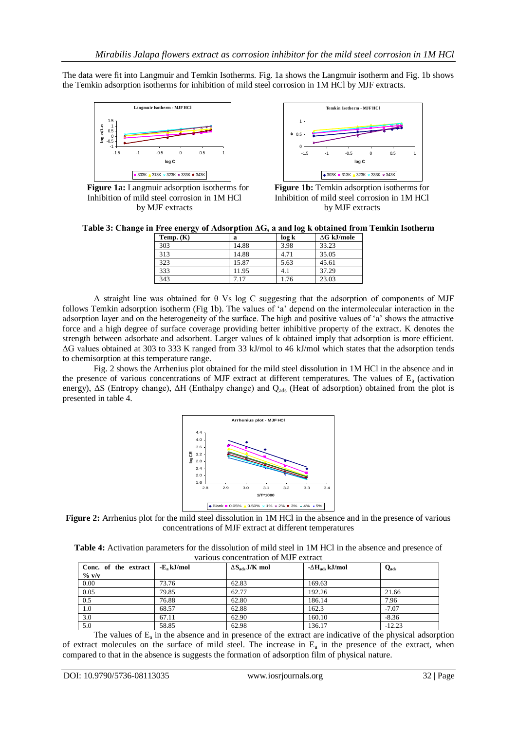The data were fit into Langmuir and Temkin Isotherms. Fig. 1a shows the Langmuir isotherm and Fig. 1b shows the Temkin adsorption isotherms for inhibition of mild steel corrosion in 1M HCl by MJF extracts.



**Figure 1a:** Langmuir adsorption isotherms for **Figure 1b:** Temkin adsorption isotherms for Inhibition of mild steel corrosion in 1M HCl Inhibition of mild steel corrosion in 1M HCl by MJF extracts by MJF extracts



**Table 3: Change in Free energy of Adsorption ΔG, a and log k obtained from Temkin Isotherm**

| Temp. $(K)$ | a     | log k | $\Delta G$ kJ/mole |
|-------------|-------|-------|--------------------|
| 303         | 14.88 | 3.98  | 33.23              |
| 313         | 14.88 | 4.71  | 35.05              |
| 323         | 15.87 | 5.63  | 45.61              |
| 333         | 11.95 | 4.1   | 37.29              |
| 343         | 7.17  | 1.76  | 23.03              |

A straight line was obtained for θ Vs log C suggesting that the adsorption of components of MJF follows Temkin adsorption isotherm (Fig 1b). The values of 'a' depend on the intermolecular interaction in the adsorption layer and on the heterogeneity of the surface. The high and positive values of "a" shows the attractive force and a high degree of surface coverage providing better inhibitive property of the extract. K denotes the strength between adsorbate and adsorbent. Larger values of k obtained imply that adsorption is more efficient. ΔG values obtained at 303 to 333 K ranged from 33 kJ/mol to 46 kJ/mol which states that the adsorption tends to chemisorption at this temperature range.

Fig. 2 shows the Arrhenius plot obtained for the mild steel dissolution in 1M HCl in the absence and in the presence of various concentrations of MJF extract at different temperatures. The values of  $E<sub>a</sub>$  (activation energy), ΔS (Entropy change), ΔH (Enthalpy change) and Q<sub>ads</sub> (Heat of adsorption) obtained from the plot is presented in table 4.



**Figure 2:** Arrhenius plot for the mild steel dissolution in 1M HCl in the absence and in the presence of various concentrations of MJF extract at different temperatures

| <b>Table 4:</b> Activation parameters for the dissolution of mild steel in 1M HCl in the absence and presence of |  |
|------------------------------------------------------------------------------------------------------------------|--|
| various concentration of MJF extract                                                                             |  |

| Conc. of the extract | -E <sub>a</sub> kJ/mol | $\Delta S_{ads}$ J/K mol | $-\Delta H_{ads}$ kJ/mol | $Q_{ads}$ |  |  |  |  |
|----------------------|------------------------|--------------------------|--------------------------|-----------|--|--|--|--|
| $\%$ v/v             |                        |                          |                          |           |  |  |  |  |
| 0.00                 | 73.76                  | 62.83                    | 169.63                   |           |  |  |  |  |
| 0.05                 | 79.85                  | 62.77                    | 192.26                   | 21.66     |  |  |  |  |
| 0.5                  | 76.88                  | 62.80                    | 186.14                   | 7.96      |  |  |  |  |
| 1.0                  | 68.57                  | 62.88                    | 162.3                    | $-7.07$   |  |  |  |  |
| 3.0                  | 67.11                  | 62.90                    | 160.10                   | $-8.36$   |  |  |  |  |
| 5.0                  | 58.85                  | 62.98                    | 136.17                   | $-12.23$  |  |  |  |  |

The values of  $E_a$  in the absence and in presence of the extract are indicative of the physical adsorption of extract molecules on the surface of mild steel. The increase in  $E_a$  in the presence of the extract, when compared to that in the absence is suggests the formation of adsorption film of physical nature.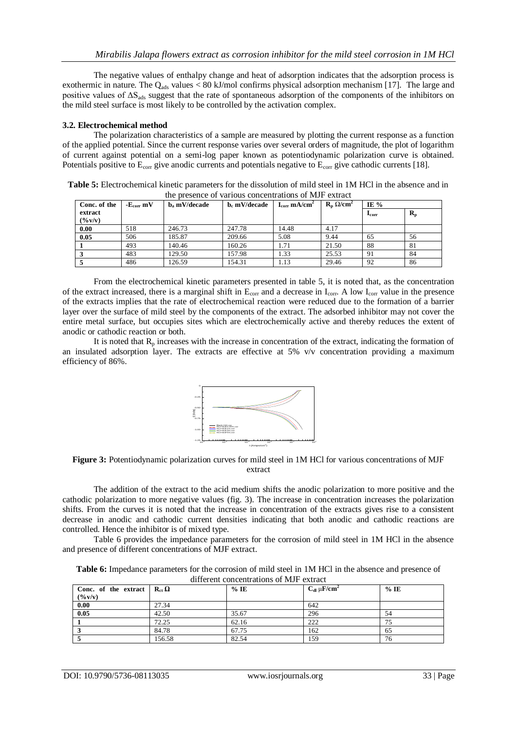The negative values of enthalpy change and heat of adsorption indicates that the adsorption process is exothermic in nature. The Q<sub>ads</sub> values  $< 80$  kJ/mol confirms physical adsorption mechanism [17]. The large and positive values of  $\Delta S_{ads}$  suggest that the rate of spontaneous adsorption of the components of the inhibitors on the mild steel surface is most likely to be controlled by the activation complex.

### **3.2. Electrochemical method**

The polarization characteristics of a sample are measured by plotting the current response as a function of the applied potential. Since the current response varies over several orders of magnitude, the plot of logarithm of current against potential on a semi-log paper known as potentiodynamic polarization curve is obtained. Potentials positive to  $E_{\text{corr}}$  give anodic currents and potentials negative to  $E_{\text{corr}}$  give cathodic currents [18].

**Table 5:** Electrochemical kinetic parameters for the dissolution of mild steel in 1M HCl in the absence and in the presence of various concentrations of MJF extract

| Conc. of the          | $-E_{corr}$ mV | $b$ <sub>a</sub> mV/decade | b. mV/decade | $I_{\rm corr}$ mA/cm <sup>2</sup> | $\mathbf{R}_{n} \Omega / \text{cm}^{2}$ | IE $%$        |                           |
|-----------------------|----------------|----------------------------|--------------|-----------------------------------|-----------------------------------------|---------------|---------------------------|
| extract<br>$($ % v/v) |                |                            |              |                                   |                                         | $_{\rm corr}$ | $\mathbf{R}_{\mathbf{p}}$ |
| 0.00                  | 518            | 246.73                     | 247.78       | 14.48                             | 4.17                                    |               |                           |
| 0.05                  | 506            | 185.87                     | 209.66       | 5.08                              | 9.44                                    | 65            | 56                        |
|                       | 493            | 140.46                     | 160.26       | 1.71                              | 21.50                                   | 88            | 81                        |
|                       | 483            | 129.50                     | 157.98       | 1.33                              | 25.53                                   | 91            | 84                        |
|                       | 486            | 126.59                     | 154.31       | 1.13                              | 29.46                                   | 92            | 86                        |

From the electrochemical kinetic parameters presented in table 5, it is noted that, as the concentration of the extract increased, there is a marginal shift in  $E_{\text{corr}}$  and a decrease in  $I_{\text{corr}}$ . A low  $I_{\text{corr}}$  value in the presence of the extracts implies that the rate of electrochemical reaction were reduced due to the formation of a barrier layer over the surface of mild steel by the components of the extract. The adsorbed inhibitor may not cover the entire metal surface, but occupies sites which are electrochemically active and thereby reduces the extent of anodic or cathodic reaction or both.

It is noted that  $R_p$  increases with the increase in concentration of the extract, indicating the formation of an insulated adsorption layer. The extracts are effective at 5% v/v concentration providing a maximum efficiency of 86%.



**Figure 3:** Potentiodynamic polarization curves for mild steel in 1M HCl for various concentrations of MJF extract

The addition of the extract to the acid medium shifts the anodic polarization to more positive and the cathodic polarization to more negative values (fig. 3). The increase in concentration increases the polarization shifts. From the curves it is noted that the increase in concentration of the extracts gives rise to a consistent decrease in anodic and cathodic current densities indicating that both anodic and cathodic reactions are controlled. Hence the inhibitor is of mixed type.

Table 6 provides the impedance parameters for the corrosion of mild steel in 1M HCl in the absence and presence of different concentrations of MJF extract.

| Table 6: Impedance parameters for the corrosion of mild steel in 1M HCl in the absence and presence of |  |                                         |  |  |  |  |
|--------------------------------------------------------------------------------------------------------|--|-----------------------------------------|--|--|--|--|
|                                                                                                        |  | different concentrations of MIE extrect |  |  |  |  |

| Conc. of the extract $\mathbf{R}_{ct} \Omega$<br>(9/6 V/V) |        | $%$ IE | $C_{dl} \mu$ F/cm <sup>2</sup> | $%$ IE |
|------------------------------------------------------------|--------|--------|--------------------------------|--------|
| 0.00                                                       | 27.34  |        | 642                            |        |
| 0.05                                                       | 42.50  | 35.67  | 296                            | 54     |
|                                                            | 72.25  | 62.16  | 222                            | 75     |
|                                                            | 84.78  | 67.75  | 162                            | 65     |
|                                                            | 156.58 | 82.54  | 159                            | 76     |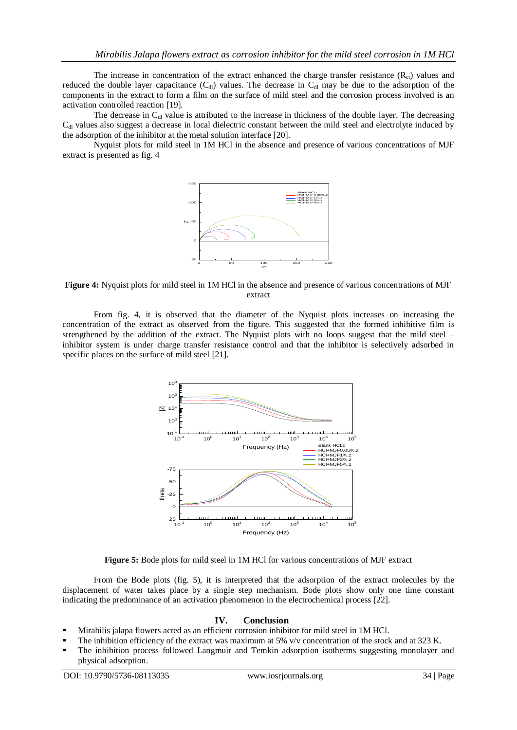The increase in concentration of the extract enhanced the charge transfer resistance  $(R<sub>ct</sub>)$  values and reduced the double layer capacitance  $(C_{d})$  values. The decrease in  $C_{d}$  may be due to the adsorption of the components in the extract to form a film on the surface of mild steel and the corrosion process involved is an activation controlled reaction [19].

The decrease in  $C<sub>dl</sub>$  value is attributed to the increase in thickness of the double layer. The decreasing  $C<sub>dl</sub>$  values also suggest a decrease in local dielectric constant between the mild steel and electrolyte induced by the adsorption of the inhibitor at the metal solution interface [20].

Nyquist plots for mild steel in 1M HCl in the absence and presence of various concentrations of MJF extract is presented as fig. 4



**Figure 4:** Nyquist plots for mild steel in 1M HCl in the absence and presence of various concentrations of MJF extract

From fig. 4, it is observed that the diameter of the Nyquist plots increases on increasing the concentration of the extract as observed from the figure. This suggested that the formed inhibitive film is strengthened by the addition of the extract. The Nyquist plots with no loops suggest that the mild steel – inhibitor system is under charge transfer resistance control and that the inhibitor is selectively adsorbed in specific places on the surface of mild steel [21].



**Figure 5:** Bode plots for mild steel in 1M HCl for various concentrations of MJF extract

From the Bode plots (fig. 5), it is interpreted that the adsorption of the extract molecules by the displacement of water takes place by a single step mechanism. Bode plots show only one time constant indicating the predominance of an activation phenomenon in the electrochemical process [22].

#### **IV. Conclusion**

- Mirabilis jalapa flowers acted as an efficient corrosion inhibitor for mild steel in 1M HCl.
- The inhibition efficiency of the extract was maximum at 5% v/v concentration of the stock and at 323 K.
- The inhibition process followed Langmuir and Temkin adsorption isotherms suggesting monolayer and physical adsorption.